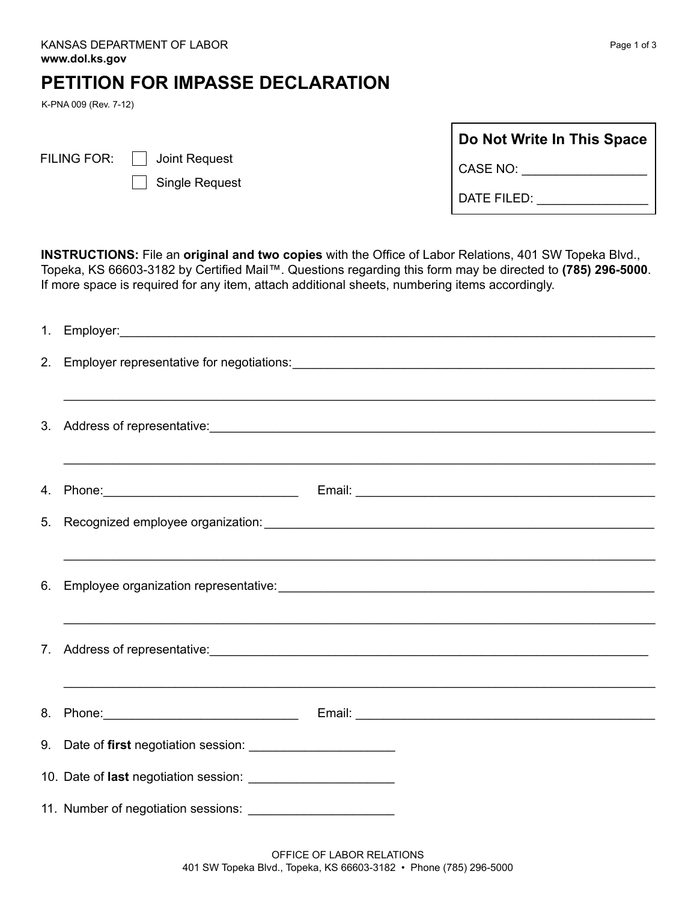## **PETITION FOR IMPASSE DECLARATION**

K-PNA 009 (Rev. 7-12)

| <b>FILING FOR</b> |
|-------------------|
|-------------------|

- $\mathbb{R}^n$  Joint Request
	- Single Request

| Do Not Write In This Space |
|----------------------------|
| CASE NO:                   |
| DATE FILED:                |

**INSTRUCTIONS:** File an **original and two copies** with the Office of Labor Relations, 401 SW Topeka Blvd., Topeka, KS 66603-3182 by Certified Mail™. Questions regarding this form may be directed to **(785) 296-5000**. If more space is required for any item, attach additional sheets, numbering items accordingly.

|  | ,我们也不能在这里的时候,我们也不能在这里的时候,我们也不能在这里的时候,我们也不能会不能在这里的时候,我们也不能会不能会不能会不能会不能会不能会不能会不能会不 |
|--|----------------------------------------------------------------------------------|
|  |                                                                                  |
|  |                                                                                  |
|  |                                                                                  |
|  |                                                                                  |
|  |                                                                                  |
|  |                                                                                  |
|  |                                                                                  |
|  |                                                                                  |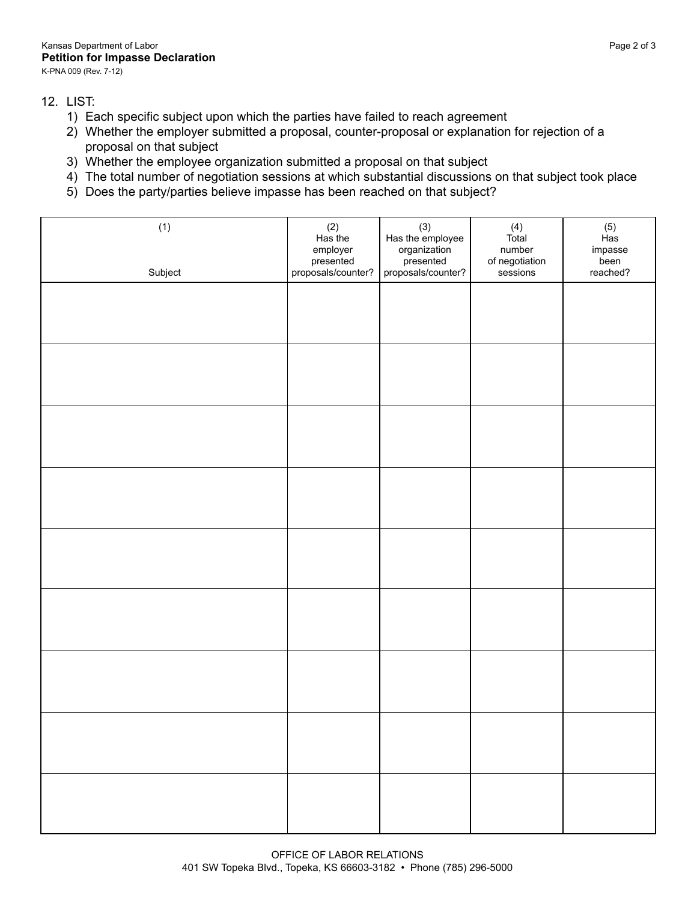12. LIST:

- 1) Each specific subject upon which the parties have failed to reach agreement
- 2) Whether the employer submitted a proposal, counter-proposal or explanation for rejection of a proposal on that subject
- 3) Whether the employee organization submitted a proposal on that subject
- 4) The total number of negotiation sessions at which substantial discussions on that subject took place
- 5) Does the party/parties believe impasse has been reached on that subject?

| (1)<br>Subject | (2)<br>Has the<br>employer<br>presented<br>proposals/counter? | (3)<br>Has the employee<br>organization<br>presented<br>proposals/counter? | $(4)$<br>Total<br>number<br>of negotiation<br>sessions | $(5)$<br>Has<br>impasse<br>been<br>reached? |
|----------------|---------------------------------------------------------------|----------------------------------------------------------------------------|--------------------------------------------------------|---------------------------------------------|
|                |                                                               |                                                                            |                                                        |                                             |
|                |                                                               |                                                                            |                                                        |                                             |
|                |                                                               |                                                                            |                                                        |                                             |
|                |                                                               |                                                                            |                                                        |                                             |
|                |                                                               |                                                                            |                                                        |                                             |
|                |                                                               |                                                                            |                                                        |                                             |
|                |                                                               |                                                                            |                                                        |                                             |
|                |                                                               |                                                                            |                                                        |                                             |
|                |                                                               |                                                                            |                                                        |                                             |